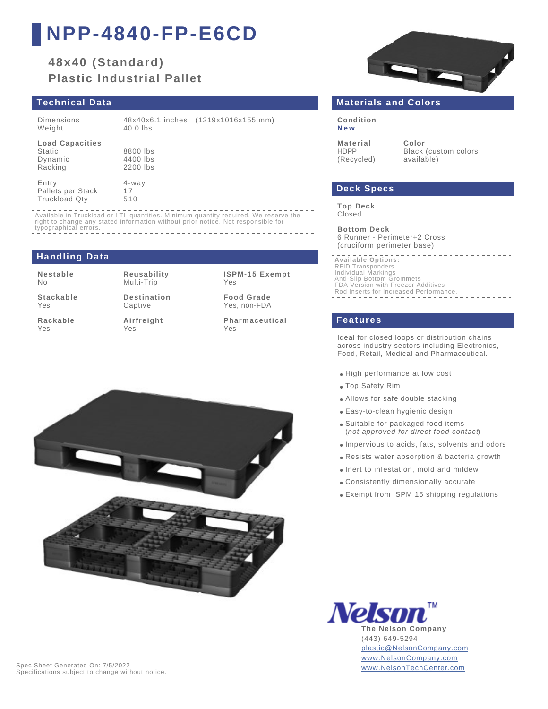# **NPP-4840-FP-E6CD**

### **48x40 (Standard) Plastic Industrial Pallet**

#### **Technical Data**

Dimensions Weight

48x40x6.1 inches (1219x1016x155 mm) 40.0 lbs

**Load Capacities** Static Dynamic Racking

Entry Pallets per Stack Truckload Qty

4-way 1 7 510

8800 lbs 4400 lbs 2200 lbs

Available in Truckload or LTL quantities. Minimum quantity required. We reserve the right to change any stated information without prior notice. Not responsible for typographical errors.

-------------------------------------

#### **Handling Data**

**Nestable** No

**Stackable** Yes

**Rackable** Yes

**Reusability** Multi-Trip **Destination** Captive

**Airfreight** Yes

**ISPM-15 Exempt** Yes **Food Grade** Yes, non-FDA

**Pharmaceutical** Yes





#### **Materials and Colors**

**Condition New**

**Material** HDPP (Recycled) **Color** Black (custom colors available)

#### **Deck Specs**

**Top Deck** Closed

**Bottom Deck** 6 Runner - Perimeter+2 Cross (cruciform perimeter base)

\_\_\_\_\_\_\_\_\_\_\_\_\_\_\_\_\_\_\_\_\_ -------------**Available Options:** RFID Transponders Individual Markings Anti-Slip Bottom Grommets FDA Version with Freezer Additives Rod Inserts for Increased Performance.

#### **Features**

Ideal for closed loops or distribution chains across industry sectors including Electronics, Food, Retail, Medical and Pharmaceutical.

- High performance at low cost
- Top Safety Rim
- Allows for safe double stacking
- Easy-to-clean hygienic design
- Suitable for packaged food items (not approved for direct food contact)
- Impervious to acids, fats, solvents and odors
- Resists water absorption & bacteria growth
- Inert to infestation, mold and mildew
- Consistently dimensionally accurate
- Exempt from ISPM 15 shipping regulations